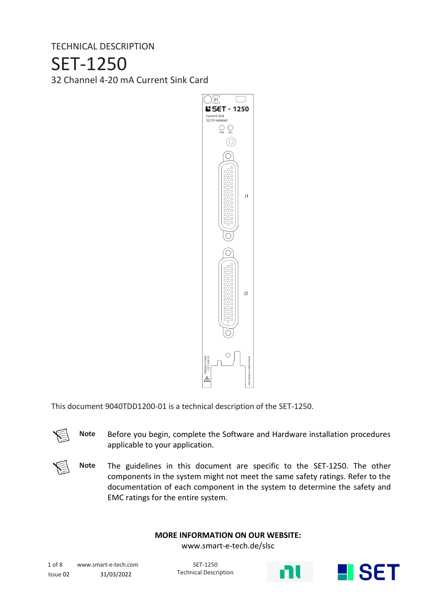TECHNICAL DESCRIPTION

#### SET-1250

32 Channel 4-20 mA Current Sink Card



This document 9040TDD1200-01 is a technical description of the SET-1250.

**Note** Before you begin, complete the Software and Hardware installation procedures applicable to your application.

**Note** The guidelines in this document are specific to the SET-1250. The other components in the system might not meet the same safety ratings. Refer to the documentation of each component in the system to determine the safety and EMC ratings for the entire system.

#### **MORE INFORMATION ON OUR WEBSITE:**

www.smart-e-tech.de/slsc

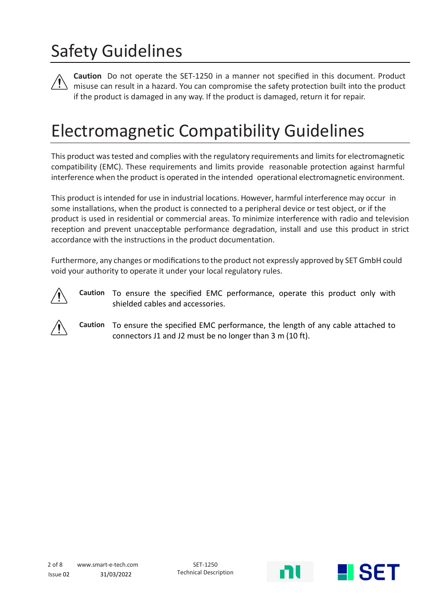# Safety Guidelines

**Caution** Do not operate the SET-1250 in a manner not specified in this document. Product misuse can result in a hazard. You can compromise the safety protection built into the product if the product is damaged in any way. If the product is damaged, return it for repair.

#### Electromagnetic Compatibility Guidelines

This product was tested and complies with the regulatory requirements and limits for electromagnetic compatibility (EMC). These requirements and limits provide reasonable protection against harmful interference when the product is operated in the intended operational electromagnetic environment.

This product is intended for use in industrial locations. However, harmful interference may occur in some installations, when the product is connected to a peripheral device or test object, or if the product is used in residential or commercial areas. To minimize interference with radio and television reception and prevent unacceptable performance degradation, install and use this product in strict accordance with the instructions in the product documentation.

Furthermore, any changes or modifications to the product not expressly approved by SET GmbH could void your authority to operate it under your local regulatory rules.



**Caution** To ensure the specified EMC performance, operate this product only with shielded cables and accessories.



**Caution** To ensure the specified EMC performance, the length of any cable attached to connectors J1 and J2 must be no longer than 3 m (10 ft).

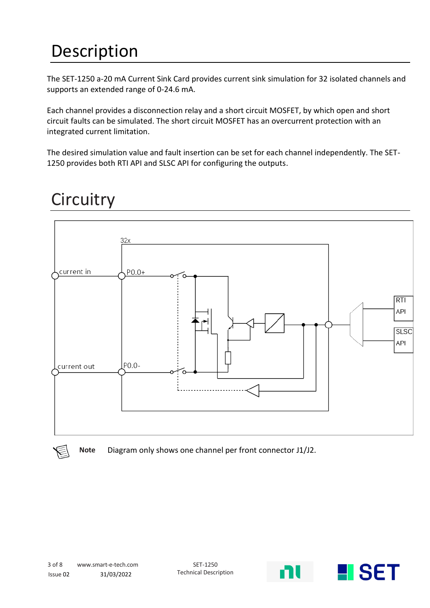# Description

The SET-1250 a-20 mA Current Sink Card provides current sink simulation for 32 isolated channels and supports an extended range of 0-24.6 mA.

Each channel provides a disconnection relay and a short circuit MOSFET, by which open and short circuit faults can be simulated. The short circuit MOSFET has an overcurrent protection with an integrated current limitation.

The desired simulation value and fault insertion can be set for each channel independently. The SET-1250 provides both RTI API and SLSC API for configuring the outputs.



## **Circuitry**

**Note** Diagram only shows one channel per front connector J1/J2.

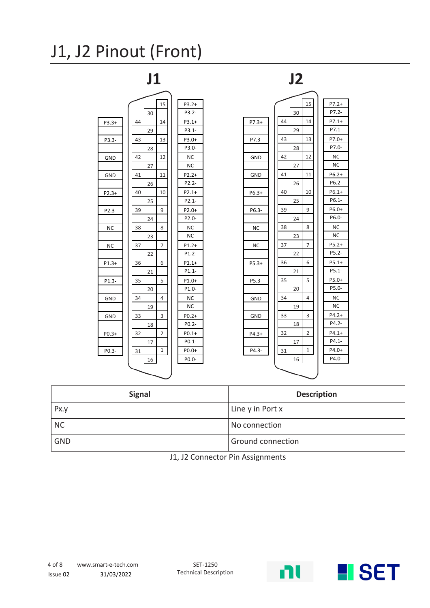### J1, J2 Pinout (Front)



| <b>Signal</b> | <b>Description</b>       |
|---------------|--------------------------|
| Px.y          | Line y in Port x         |
| <b>NC</b>     | No connection            |
| <b>GND</b>    | <b>Ground connection</b> |

J1, J2 Connector Pin Assignments

ni **K**iset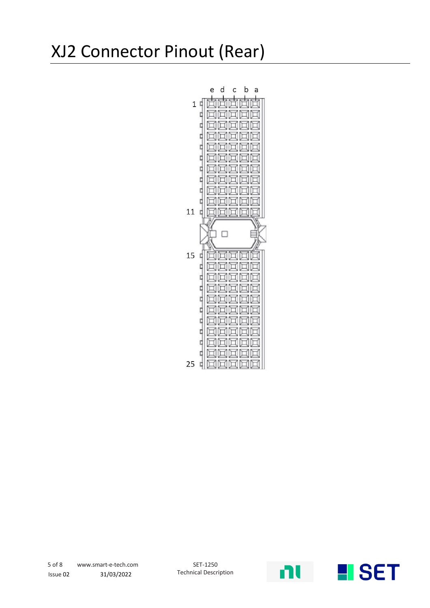#### XJ2 Connector Pinout (Rear)



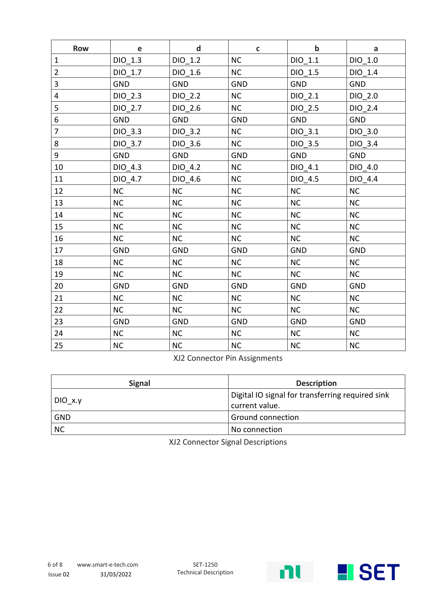| <b>Row</b>              | e          | $\mathbf d$ | $\mathbf{C}$ | $\mathbf b$ | a          |
|-------------------------|------------|-------------|--------------|-------------|------------|
| $\mathbf{1}$            | $DIO_1.3$  | $DIO_1.2$   | <b>NC</b>    | $DIO_1.1$   | $DIO_1.0$  |
| $\overline{2}$          | DIO 1.7    | DIO 1.6     | <b>NC</b>    | DIO 1.5     | DIO 1.4    |
| 3                       | <b>GND</b> | <b>GND</b>  | <b>GND</b>   | <b>GND</b>  | <b>GND</b> |
| $\overline{\mathbf{4}}$ | DIO_2.3    | DIO_2.2     | <b>NC</b>    | $DIO_2.1$   | DIO 2.0    |
| 5                       | DIO 2.7    | DIO 2.6     | <b>NC</b>    | DIO 2.5     | DIO 2.4    |
| 6                       | <b>GND</b> | <b>GND</b>  | <b>GND</b>   | <b>GND</b>  | <b>GND</b> |
| $\overline{7}$          | DIO 3.3    | DIO 3.2     | <b>NC</b>    | DIO 3.1     | DIO 3.0    |
| 8                       | DIO 3.7    | DIO_3.6     | <b>NC</b>    | DIO_3.5     | DIO_3.4    |
| 9                       | <b>GND</b> | GND         | <b>GND</b>   | GND         | <b>GND</b> |
| 10                      | DIO_4.3    | DIO_4.2     | <b>NC</b>    | DIO_4.1     | DIO_4.0    |
| 11                      | DIO 4.7    | DIO 4.6     | NC           | DIO 4.5     | DIO 4.4    |
| 12                      | NC         | <b>NC</b>   | <b>NC</b>    | <b>NC</b>   | <b>NC</b>  |
| 13                      | NC         | <b>NC</b>   | NC           | <b>NC</b>   | NC         |
| 14                      | NC         | <b>NC</b>   | <b>NC</b>    | <b>NC</b>   | <b>NC</b>  |
| 15                      | <b>NC</b>  | <b>NC</b>   | <b>NC</b>    | <b>NC</b>   | <b>NC</b>  |
| 16                      | NC         | <b>NC</b>   | <b>NC</b>    | <b>NC</b>   | NC         |
| 17                      | <b>GND</b> | GND         | <b>GND</b>   | GND         | <b>GND</b> |
| 18                      | NC         | <b>NC</b>   | <b>NC</b>    | <b>NC</b>   | <b>NC</b>  |
| 19                      | <b>NC</b>  | <b>NC</b>   | <b>NC</b>    | <b>NC</b>   | <b>NC</b>  |
| 20                      | <b>GND</b> | GND         | <b>GND</b>   | <b>GND</b>  | <b>GND</b> |
| 21                      | <b>NC</b>  | NC          | <b>NC</b>    | <b>NC</b>   | <b>NC</b>  |
| 22                      | <b>NC</b>  | <b>NC</b>   | <b>NC</b>    | NC          | <b>NC</b>  |
| 23                      | GND        | GND         | <b>GND</b>   | GND         | <b>GND</b> |
| 24                      | NC         | <b>NC</b>   | <b>NC</b>    | <b>NC</b>   | <b>NC</b>  |
| 25                      | $NC$       | <b>NC</b>   | NC           | $NC$        | <b>NC</b>  |

XJ2 Connector Pin Assignments

| <b>Signal</b>            | <b>Description</b>                                                 |  |
|--------------------------|--------------------------------------------------------------------|--|
| DIO x.y                  | Digital IO signal for transferring required sink<br>current value. |  |
| GND                      | <b>Ground connection</b>                                           |  |
| $\overline{\mathsf{NC}}$ | No connection                                                      |  |

XJ2 Connector Signal Descriptions

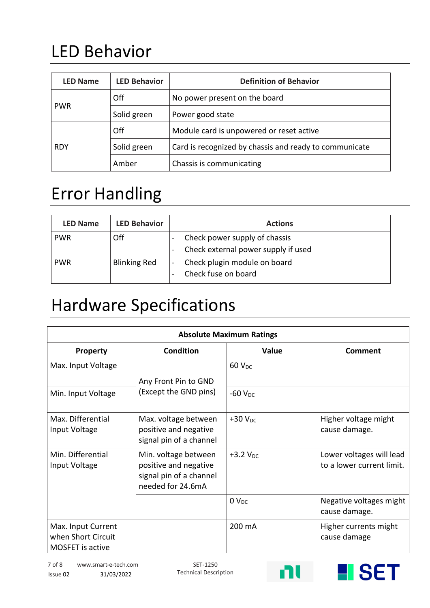# LED Behavior

| <b>LED Name</b>           | <b>LED Behavior</b>             | <b>Definition of Behavior</b>                          |  |
|---------------------------|---------------------------------|--------------------------------------------------------|--|
| Off                       |                                 | No power present on the board                          |  |
| <b>PWR</b>                | Solid green<br>Power good state |                                                        |  |
|                           | Off                             | Module card is unpowered or reset active               |  |
| Solid green<br><b>RDY</b> |                                 | Card is recognized by chassis and ready to communicate |  |
|                           | Amber                           | Chassis is communicating                               |  |

#### Error Handling

| <b>LED Name</b> | <b>LED Behavior</b> | <b>Actions</b>                                                                                                                                                                           |
|-----------------|---------------------|------------------------------------------------------------------------------------------------------------------------------------------------------------------------------------------|
| <b>PWR</b>      | Off                 | Check power supply of chassis                                                                                                                                                            |
|                 |                     | Check external power supply if used<br>$\hskip1.6pt\hskip1.6pt\hskip1.6pt\hskip1.6pt\hskip1.6pt\hskip1.6pt\hskip1.6pt\hskip1.6pt\hskip1.6pt\hskip1.6pt\hskip1.6pt\hskip1.6pt\hskip1.6pt$ |
| <b>PWR</b>      | <b>Blinking Red</b> | Check plugin module on board<br>Check fuse on board                                                                                                                                      |

### Hardware Specifications

| <b>Absolute Maximum Ratings</b>                                     |                                                                                               |                          |                                                       |  |
|---------------------------------------------------------------------|-----------------------------------------------------------------------------------------------|--------------------------|-------------------------------------------------------|--|
| Property                                                            | <b>Condition</b>                                                                              | <b>Value</b>             | Comment                                               |  |
| Max. Input Voltage                                                  | Any Front Pin to GND                                                                          | <b>60 V<sub>DC</sub></b> |                                                       |  |
| Min. Input Voltage                                                  | (Except the GND pins)                                                                         | $-60$ $V_{DC}$           |                                                       |  |
| Max. Differential<br>Input Voltage                                  | Max. voltage between<br>positive and negative<br>signal pin of a channel                      | $+30V_{DC}$              | Higher voltage might<br>cause damage.                 |  |
| Min. Differential<br>Input Voltage                                  | Min. voltage between<br>positive and negative<br>signal pin of a channel<br>needed for 24.6mA | $+3.2$ V <sub>DC</sub>   | Lower voltages will lead<br>to a lower current limit. |  |
|                                                                     |                                                                                               | 0 <sub>DC</sub>          | Negative voltages might<br>cause damage.              |  |
| Max. Input Current<br>when Short Circuit<br><b>MOSFET</b> is active |                                                                                               | 200 mA                   | Higher currents might<br>cause damage                 |  |